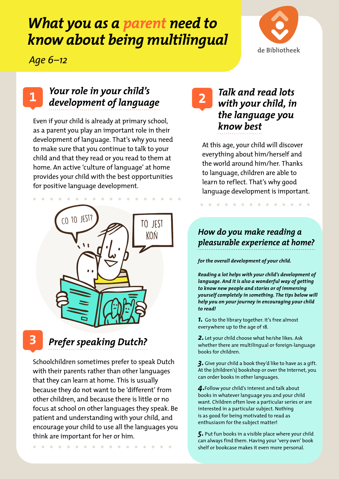# *What you as a parent need to know about being multilingual*



*Age 6–12*

1

## *Your role in your child's development of language*

Even if your child is already at primary school, as a parent you play an important role in their development of language. That's why you need to make sure that you continue to talk to your child and that they read or you read to them at home. An active 'culture of language' at home provides your child with the best opportunities for positive language development.

 $\sim$ 



*Prefer speaking Dutch?*

Schoolchildren sometimes prefer to speak Dutch with their parents rather than other languages that they can learn at home. This is usually because they do not want to be 'different' from other children, and because there is little or no focus at school on other languages they speak. Be patient and understanding with your child, and encourage your child to use all the languages you think are important for her or him.

. . . . . . . . . . . . . . . . .

## *Talk and read lots with your child, in the language you know best*

At this age, your child will discover everything about him/herself and the world around him/her. Thanks to language, children are able to learn to reflect. That's why good language development is important.

. . . . . . . . . . . . . .

#### *How do you make reading a pleasurable experience at home?*

*for the overall development of your child.*

*Reading a lot helps with your child's development of language. And it is also a wonderful way of getting to know new people and stories or of immersing yourself completely in something. The tips below will help you on your journey in encouraging your child to read!*

*1.* Go to the library together. It's free almost everywhere up to the age of 18.

*2.* Let your child choose what he/she likes. Ask whether there are multilingual or foreign-language books for children.

*3.* Give your child a book they'd like to have as a gift. At the (children's) bookshop or over the Internet, you can order books in other languages.

*4.*Follow your child's interest and talk about books in whatever language you and your child want. Children often love a particular series or are interested in a particular subject. Nothing is as good for being motivated to read as enthusiasm for the subject matter!

*5.* Put fun books in a visible place where your child can always find them. Having your 'very own' book shelf or bookcase makes it even more personal.